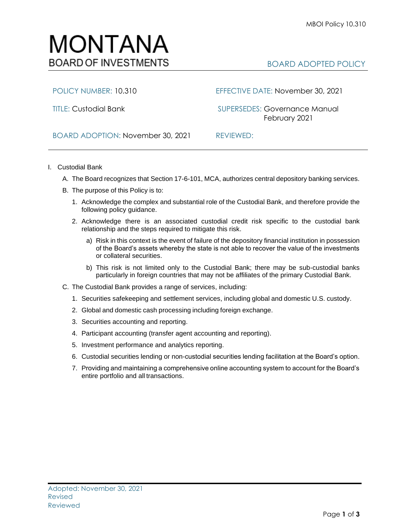

POLICY NUMBER: 10.310 EFFECTIVE DATE: November 30, 2021

TITLE: Custodial Bank SUPERSEDES: Governance Manual February 2021

BOARD ADOPTION: November 30, 2021 REVIEWED:

- I. Custodial Bank
	- A. The Board recognizes that Section 17-6-101, MCA, authorizes central depository banking services.
	- B. The purpose of this Policy is to:
		- 1. Acknowledge the complex and substantial role of the Custodial Bank, and therefore provide the following policy guidance.
		- 2. Acknowledge there is an associated custodial credit risk specific to the custodial bank relationship and the steps required to mitigate this risk.
			- a) Risk in this context is the event of failure of the depository financial institution in possession of the Board's assets whereby the state is not able to recover the value of the investments or collateral securities.
			- b) This risk is not limited only to the Custodial Bank; there may be sub-custodial banks particularly in foreign countries that may not be affiliates of the primary Custodial Bank.
	- C. The Custodial Bank provides a range of services, including:
		- 1. Securities safekeeping and settlement services, including global and domestic U.S. custody.
		- 2. Global and domestic cash processing including foreign exchange.
		- 3. Securities accounting and reporting.
		- 4. Participant accounting (transfer agent accounting and reporting).
		- 5. Investment performance and analytics reporting.
		- 6. Custodial securities lending or non-custodial securities lending facilitation at the Board's option.
		- 7. Providing and maintaining a comprehensive online accounting system to account for the Board's entire portfolio and all transactions.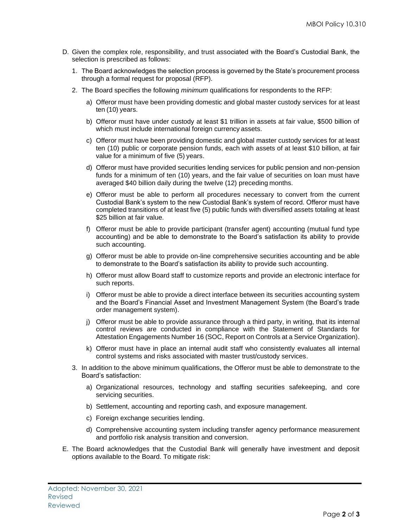- D. Given the complex role, responsibility, and trust associated with the Board's Custodial Bank, the selection is prescribed as follows:
	- 1. The Board acknowledges the selection process is governed by the State's procurement process through a formal request for proposal (RFP).
	- 2. The Board specifies the following *minimum* qualifications for respondents to the RFP:
		- a) Offeror must have been providing domestic and global master custody services for at least ten (10) years.
		- b) Offeror must have under custody at least \$1 trillion in assets at fair value, \$500 billion of which must include international foreign currency assets.
		- c) Offeror must have been providing domestic and global master custody services for at least ten (10) public or corporate pension funds, each with assets of at least \$10 billion, at fair value for a minimum of five (5) years.
		- d) Offeror must have provided securities lending services for public pension and non-pension funds for a minimum of ten (10) years, and the fair value of securities on loan must have averaged \$40 billion daily during the twelve (12) preceding months.
		- e) Offeror must be able to perform all procedures necessary to convert from the current Custodial Bank's system to the new Custodial Bank's system of record. Offeror must have completed transitions of at least five (5) public funds with diversified assets totaling at least \$25 billion at fair value.
		- f) Offeror must be able to provide participant (transfer agent) accounting (mutual fund type accounting) and be able to demonstrate to the Board's satisfaction its ability to provide such accounting.
		- g) Offeror must be able to provide on-line comprehensive securities accounting and be able to demonstrate to the Board's satisfaction its ability to provide such accounting.
		- h) Offeror must allow Board staff to customize reports and provide an electronic interface for such reports.
		- i) Offeror must be able to provide a direct interface between its securities accounting system and the Board's Financial Asset and Investment Management System (the Board's trade order management system).
		- j) Offeror must be able to provide assurance through a third party, in writing, that its internal control reviews are conducted in compliance with the Statement of Standards for Attestation Engagements Number 16 (SOC, Report on Controls at a Service Organization).
		- k) Offeror must have in place an internal audit staff who consistently evaluates all internal control systems and risks associated with master trust/custody services.
	- 3. In addition to the above minimum qualifications, the Offeror must be able to demonstrate to the Board's satisfaction:
		- a) Organizational resources, technology and staffing securities safekeeping, and core servicing securities.
		- b) Settlement, accounting and reporting cash, and exposure management.
		- c) Foreign exchange securities lending.
		- d) Comprehensive accounting system including transfer agency performance measurement and portfolio risk analysis transition and conversion.
- E. The Board acknowledges that the Custodial Bank will generally have investment and deposit options available to the Board. To mitigate risk: